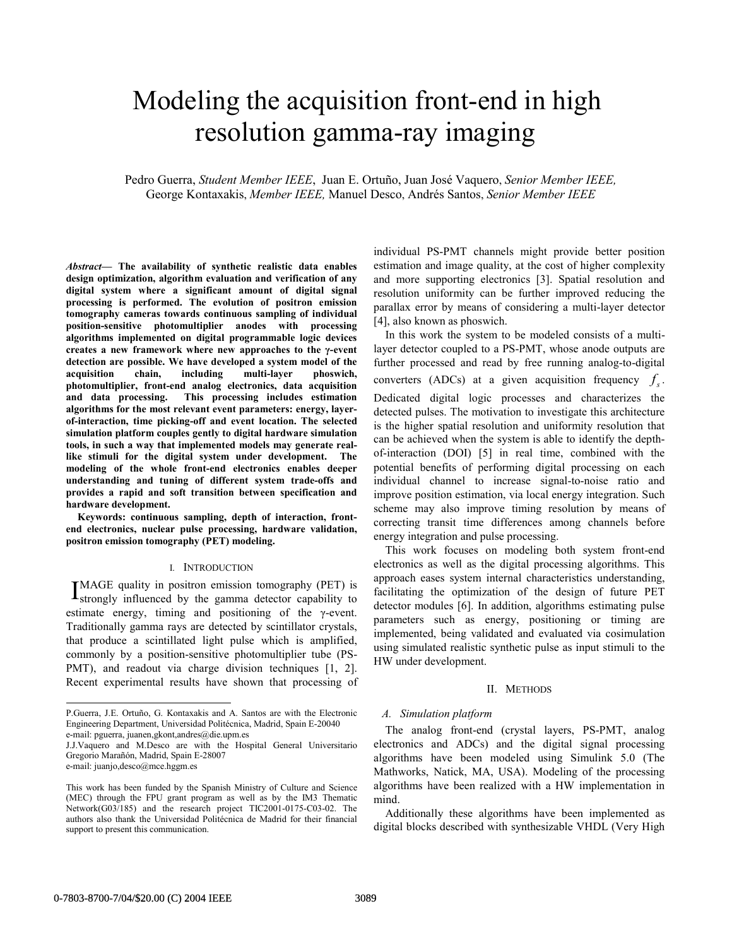# Modeling the acquisition front-end in high resolution gamma-ray imaging

Pedro Guerra, *Student Member IEEE*, Juan E. Ortuño, Juan José Vaquero, *Senior Member IEEE,* George Kontaxakis, *Member IEEE,* Manuel Desco, Andrés Santos, *Senior Member IEEE*

*Abstract***— The availability of synthetic realistic data enables design optimization, algorithm evaluation and verification of any digital system where a significant amount of digital signal processing is performed. The evolution of positron emission tomography cameras towards continuous sampling of individual position-sensitive photomultiplier anodes with processing algorithms implemented on digital programmable logic devices creates a new framework where new approaches to the γ-event detection are possible. We have developed a system model of the**  acquisition chain, including multi-layer **photomultiplier, front-end analog electronics, data acquisition and data processing. This processing includes estimation algorithms for the most relevant event parameters: energy, layerof-interaction, time picking-off and event location. The selected simulation platform couples gently to digital hardware simulation tools, in such a way that implemented models may generate reallike stimuli for the digital system under development. The modeling of the whole front-end electronics enables deeper understanding and tuning of different system trade-offs and provides a rapid and soft transition between specification and hardware development.** 

**Keywords: continuous sampling, depth of interaction, frontend electronics, nuclear pulse processing, hardware validation, positron emission tomography (PET) modeling.** 

#### I. INTRODUCTION

MAGE quality in positron emission tomography (PET) is IMAGE quality in positron emission tomography (PET) is strongly influenced by the gamma detector capability to estimate energy, timing and positioning of the γ-event. Traditionally gamma rays are detected by scintillator crystals, that produce a scintillated light pulse which is amplified, commonly by a position-sensitive photomultiplier tube (PS-PMT), and readout via charge division techniques [1, 2]. Recent experimental results have shown that processing of

 $\overline{a}$ 

individual PS-PMT channels might provide better position estimation and image quality, at the cost of higher complexity and more supporting electronics [3]. Spatial resolution and resolution uniformity can be further improved reducing the parallax error by means of considering a multi-layer detector [4], also known as phoswich.

In this work the system to be modeled consists of a multilayer detector coupled to a PS-PMT, whose anode outputs are further processed and read by free running analog-to-digital converters (ADCs) at a given acquisition frequency  $f_s$ . Dedicated digital logic processes and characterizes the detected pulses. The motivation to investigate this architecture is the higher spatial resolution and uniformity resolution that can be achieved when the system is able to identify the depthof-interaction (DOI) [5] in real time, combined with the potential benefits of performing digital processing on each individual channel to increase signal-to-noise ratio and improve position estimation, via local energy integration. Such scheme may also improve timing resolution by means of correcting transit time differences among channels before energy integration and pulse processing.

This work focuses on modeling both system front-end electronics as well as the digital processing algorithms. This approach eases system internal characteristics understanding, facilitating the optimization of the design of future PET detector modules [6]. In addition, algorithms estimating pulse parameters such as energy, positioning or timing are implemented, being validated and evaluated via cosimulation using simulated realistic synthetic pulse as input stimuli to the HW under development.

# II. METHODS

## *A. Simulation platform*

The analog front-end (crystal layers, PS-PMT, analog electronics and ADCs) and the digital signal processing algorithms have been modeled using Simulink 5.0 (The Mathworks, Natick, MA, USA). Modeling of the processing algorithms have been realized with a HW implementation in mind.

Additionally these algorithms have been implemented as digital blocks described with synthesizable VHDL (Very High

P.Guerra, J.E. Ortuño, G. Kontaxakis and A. Santos are with the Electronic Engineering Department, Universidad Politécnica, Madrid, Spain E-20040 e-mail: pguerra, juanen,gkont,andres@die.upm.es

J.J.Vaquero and M.Desco are with the Hospital General Universitario Gregorio Marañón, Madrid, Spain E-28007

e-mail: juanjo,desco@mce.hggm.es

This work has been funded by the Spanish Ministry of Culture and Science (MEC) through the FPU grant program as well as by the IM3 Thematic Network(G03/185) and the research project TIC2001-0175-C03-02. The authors also thank the Universidad Politécnica de Madrid for their financial support to present this communication.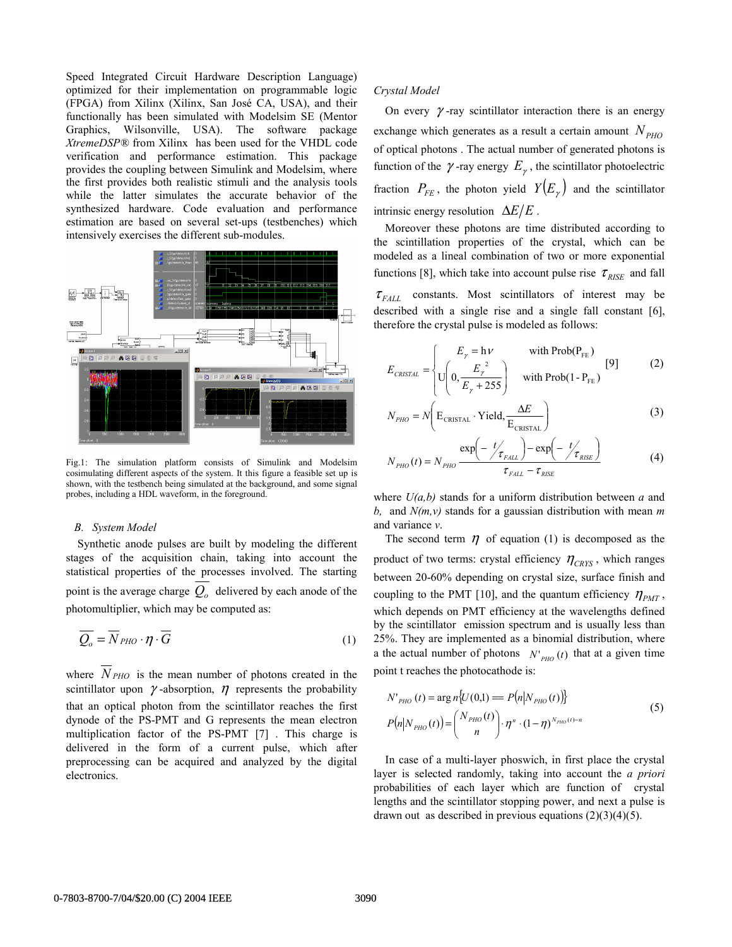Speed Integrated Circuit Hardware Description Language) optimized for their implementation on programmable logic (FPGA) from Xilinx (Xilinx, San José CA, USA), and their functionally has been simulated with Modelsim SE (Mentor Graphics, Wilsonville, USA). The software package *XtremeDSP®* from Xilinx has been used for the VHDL code verification and performance estimation. This package provides the coupling between Simulink and Modelsim, where the first provides both realistic stimuli and the analysis tools while the latter simulates the accurate behavior of the synthesized hardware. Code evaluation and performance estimation are based on several set-ups (testbenches) which intensively exercises the different sub-modules.



Fig.1: The simulation platform consists of Simulink and Modelsim cosimulating different aspects of the system. It this figure a feasible set up is shown, with the testbench being simulated at the background, and some signal probes, including a HDL waveform, in the foreground.

# *B. System Model*

Synthetic anode pulses are built by modeling the different stages of the acquisition chain, taking into account the statistical properties of the processes involved. The starting point is the average charge  $\overline{Q_o}$  delivered by each anode of the photomultiplier, which may be computed as:

$$
\overline{Q_o} = \overline{N}_{PHO} \cdot \overline{q} \tag{1}
$$

where  $\overline{N}_{PHO}$  is the mean number of photons created in the scintillator upon  $\gamma$ -absorption,  $\eta$  represents the probability that an optical photon from the scintillator reaches the first dynode of the PS-PMT and G represents the mean electron multiplication factor of the PS-PMT [7] . This charge is delivered in the form of a current pulse, which after preprocessing can be acquired and analyzed by the digital electronics.

#### *Crystal Model*

On every  $\gamma$ -ray scintillator interaction there is an energy exchange which generates as a result a certain amount  $N_{PHO}$ of optical photons . The actual number of generated photons is function of the  $\gamma$ -ray energy  $E_{\gamma}$ , the scintillator photoelectric fraction  $P_{FE}$ , the photon yield  $Y(E_{\gamma})$  and the scintillator intrinsic energy resolution  $\Delta E/E$ .

Moreover these photons are time distributed according to the scintillation properties of the crystal, which can be modeled as a lineal combination of two or more exponential functions [8], which take into account pulse rise  $\tau_{RISE}$  and fall  $\tau_{FALL}$  constants. Most scintillators of interest may be described with a single rise and a single fall constant [6], therefore the crystal pulse is modeled as follows:

$$
E_{CRISTAL} = \begin{cases} E_{\gamma} = h\nu & \text{with Prob}(P_{FE})\\ U\left(0, \frac{E_{\gamma}^{2}}{E_{\gamma} + 255}\right) & \text{with Prob}(1 - P_{FE}) \end{cases}
$$
 [9] (2)

$$
N_{PHO} = N \left( \mathbf{E}_{\text{CRISTAL}} \cdot \mathbf{Yield}, \frac{\Delta E}{\mathbf{E}_{\text{CRISTAL}}} \right)
$$
 (3)

$$
N_{PHO}(t) = N_{PHO} \frac{\exp\left(-\frac{t}{\tau_{FALL}}\right) - \exp\left(-\frac{t}{\tau_{RISE}}\right)}{\tau_{FALL} - \tau_{RISE}}
$$
(4)

where *U(a,b)* stands for a uniform distribution between *a* and *b,* and *N(m,v)* stands for a gaussian distribution with mean *m* and variance *v*.

The second term  $\eta$  of equation (1) is decomposed as the product of two terms: crystal efficiency  $\eta_{CRYS}$ , which ranges between 20-60% depending on crystal size, surface finish and coupling to the PMT [10], and the quantum efficiency  $\eta_{PMT}$ , which depends on PMT efficiency at the wavelengths defined by the scintillator emission spectrum and is usually less than 25%. They are implemented as a binomial distribution, where a the actual number of photons  $N'_{PHO}(t)$  that at a given time point t reaches the photocathode is:

$$
N'_{PHO}(t) = \arg n \{ U(0,1) = P(n|N_{PHO}(t)) \}
$$
  
\n
$$
P(n|N_{PHO}(t)) = {N_{PHO}(t) \choose n} \cdot \eta^n \cdot (1-\eta)^{N_{PHO}(t)-n}
$$
\n(5)

In case of a multi-layer phoswich, in first place the crystal layer is selected randomly, taking into account the *a priori* probabilities of each layer which are function of crystal lengths and the scintillator stopping power, and next a pulse is drawn out as described in previous equations  $(2)(3)(4)(5)$ .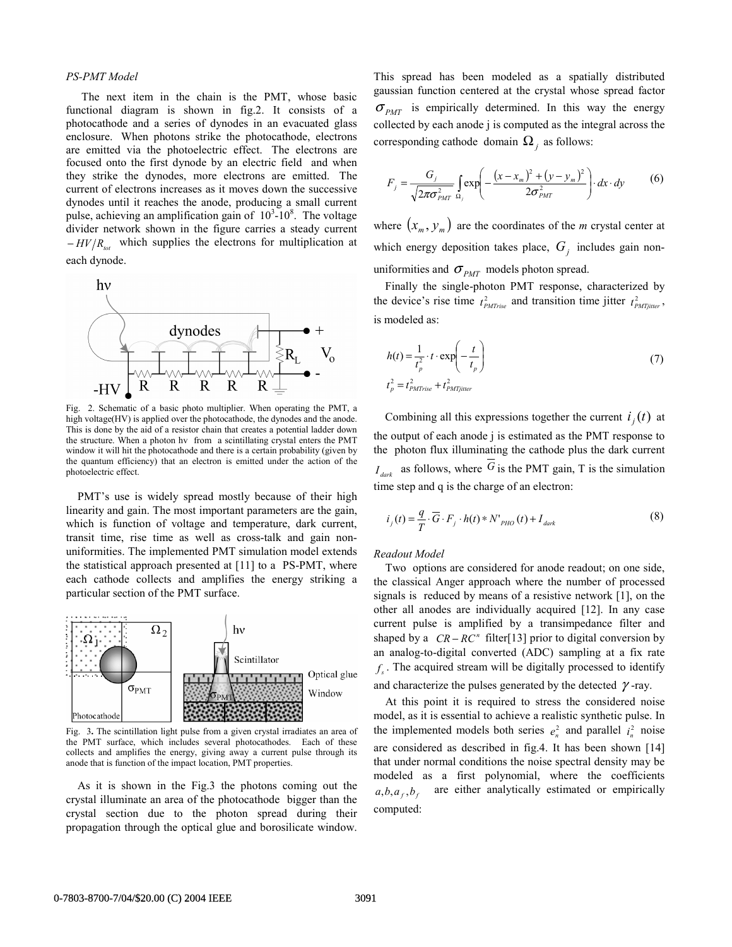### *PS-PMT Model*

The next item in the chain is the PMT, whose basic functional diagram is shown in fig.2. It consists of a photocathode and a series of dynodes in an evacuated glass enclosure. When photons strike the photocathode, electrons are emitted via the photoelectric effect. The electrons are focused onto the first dynode by an electric field and when they strike the dynodes, more electrons are emitted. The current of electrons increases as it moves down the successive dynodes until it reaches the anode, producing a small current pulse, achieving an amplification gain of  $10^3$ -10<sup>8</sup>. The voltage divider network shown in the figure carries a steady current  $-HV/R_{tot}$  which supplies the electrons for multiplication at each dynode.



Fig. 2. Schematic of a basic photo multiplier. When operating the PMT, a high voltage(HV) is applied over the photocathode, the dynodes and the anode. This is done by the aid of a resistor chain that creates a potential ladder down the structure. When a photon hv from a scintillating crystal enters the PMT window it will hit the photocathode and there is a certain probability (given by the quantum efficiency) that an electron is emitted under the action of the photoelectric effect.

PMT's use is widely spread mostly because of their high linearity and gain. The most important parameters are the gain, which is function of voltage and temperature, dark current, transit time, rise time as well as cross-talk and gain nonuniformities. The implemented PMT simulation model extends the statistical approach presented at [11] to a PS-PMT, where each cathode collects and amplifies the energy striking a particular section of the PMT surface.



Fig. 3**.** The scintillation light pulse from a given crystal irradiates an area of the PMT surface, which includes several photocathodes. Each of these collects and amplifies the energy, giving away a current pulse through its anode that is function of the impact location, PMT properties.

As it is shown in the Fig.3 the photons coming out the crystal illuminate an area of the photocathode bigger than the crystal section due to the photon spread during their propagation through the optical glue and borosilicate window.

This spread has been modeled as a spatially distributed gaussian function centered at the crystal whose spread factor  $\sigma_{PMT}$  is empirically determined. In this way the energy collected by each anode j is computed as the integral across the corresponding cathode domain  $\Omega_i$  as follows:

$$
F_{j} = \frac{G_{j}}{\sqrt{2\pi\sigma_{PMT}^{2}} \Omega_{j}} \int_{Q_{j}} \exp\left(-\frac{(x - x_{m})^{2} + (y - y_{m})^{2}}{2\sigma_{PMT}^{2}}\right) dx \cdot dy \tag{6}
$$

where  $(x_m, y_m)$  are the coordinates of the *m* crystal center at which energy deposition takes place,  $G_i$  includes gain nonuniformities and  $\sigma_{PMT}$  models photon spread.

Finally the single-photon PMT response, characterized by the device's rise time  $t_{PMTrise}^2$  and transition time jitter  $t_{PMTjitter}^2$ , is modeled as:

$$
h(t) = \frac{1}{t_p^2} \cdot t \cdot \exp\left(-\frac{t}{t_p}\right)
$$
  
\n
$$
t_p^2 = t_{PMTrise}^2 + t_{PMTjiter}^2
$$
\n(7)

Combining all this expressions together the current  $i_i(t)$  at the output of each anode j is estimated as the PMT response to the photon flux illuminating the cathode plus the dark current  $I_{\text{dark}}$  as follows, where  $\overline{G}$  is the PMT gain, T is the simulation time step and q is the charge of an electron:

$$
i_j(t) = \frac{q}{T} \cdot \overline{G} \cdot F_j \cdot h(t) * N'_{PHO}(t) + I_{dark}
$$
 (8)

*Readout Model*

Two options are considered for anode readout; on one side, the classical Anger approach where the number of processed signals is reduced by means of a resistive network [1], on the other all anodes are individually acquired [12]. In any case current pulse is amplified by a transimpedance filter and shaped by a  $CR - RC^n$  filter[13] prior to digital conversion by an analog-to-digital converted (ADC) sampling at a fix rate  $f<sub>s</sub>$ . The acquired stream will be digitally processed to identify and characterize the pulses generated by the detected  $\gamma$ -ray.

At this point it is required to stress the considered noise model, as it is essential to achieve a realistic synthetic pulse. In the implemented models both series  $e_n^2$  and parallel  $i_n^2$  noise are considered as described in fig.4. It has been shown [14] that under normal conditions the noise spectral density may be modeled as a first polynomial, where the coefficients  $a, b, a_f, b_f$  are either analytically estimated or empirically computed: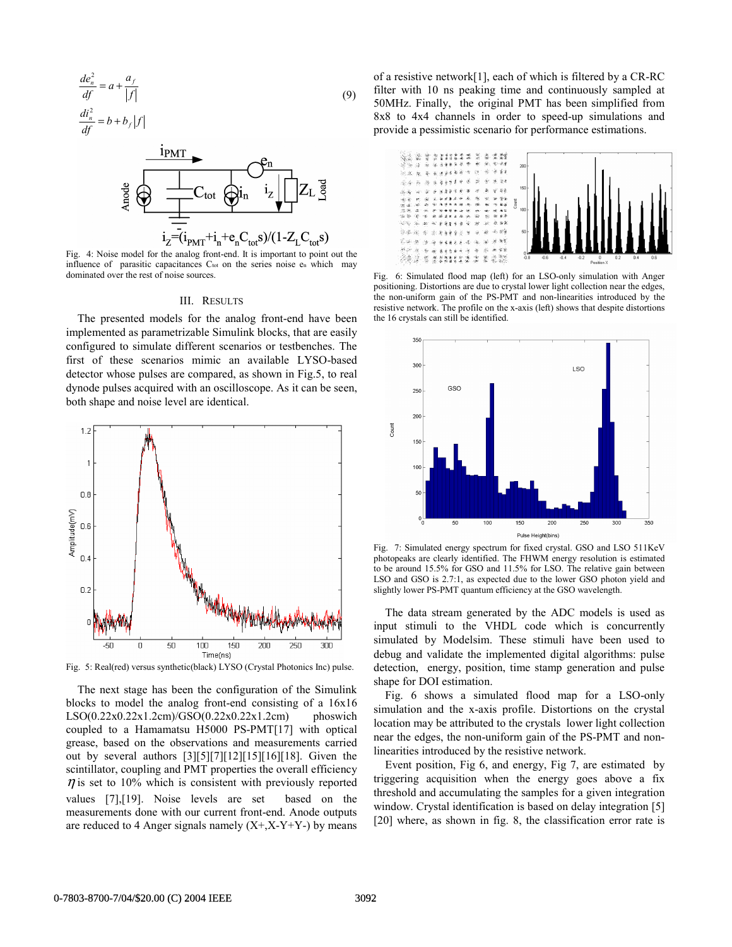$$
\frac{de_n^2}{df} = a + \frac{a_f}{|f|}
$$
  
\n
$$
\frac{di_n^2}{df} = b + b_f |f|
$$
\n(9)



Fig. 4: Noise model for the analog front-end. It is important to point out the influence of parasitic capacitances  $C_{tot}$  on the series noise  $e_n$  which may dominated over the rest of noise sources.

#### III. RESULTS

The presented models for the analog front-end have been implemented as parametrizable Simulink blocks, that are easily configured to simulate different scenarios or testbenches. The first of these scenarios mimic an available LYSO-based detector whose pulses are compared, as shown in Fig.5, to real dynode pulses acquired with an oscilloscope. As it can be seen, both shape and noise level are identical.



Fig. 5: Real(red) versus synthetic(black) LYSO (Crystal Photonics Inc) pulse.

The next stage has been the configuration of the Simulink blocks to model the analog front-end consisting of a 16x16 LSO(0.22x0.22x1.2cm)/GSO(0.22x0.22x1.2cm) phoswich coupled to a Hamamatsu H5000 PS-PMT[17] with optical grease, based on the observations and measurements carried out by several authors  $[3][5][7][12][15][16][18]$ . Given the scintillator, coupling and PMT properties the overall efficiency  $\eta$  is set to 10% which is consistent with previously reported values [7],[19]. Noise levels are set based on the measurements done with our current front-end. Anode outputs are reduced to 4 Anger signals namely  $(X+, X- Y+ Y-)$  by means of a resistive network[1], each of which is filtered by a CR-RC filter with 10 ns peaking time and continuously sampled at 50MHz. Finally, the original PMT has been simplified from 8x8 to 4x4 channels in order to speed-up simulations and provide a pessimistic scenario for performance estimations.



Fig. 6: Simulated flood map (left) for an LSO-only simulation with Anger positioning. Distortions are due to crystal lower light collection near the edges, the non-uniform gain of the PS-PMT and non-linearities introduced by the resistive network. The profile on the x-axis (left) shows that despite distortions the 16 crystals can still be identified.



Fig. 7: Simulated energy spectrum for fixed crystal. GSO and LSO 511KeV photopeaks are clearly identified. The FHWM energy resolution is estimated to be around 15.5% for GSO and 11.5% for LSO. The relative gain between LSO and GSO is 2.7:1, as expected due to the lower GSO photon yield and slightly lower PS-PMT quantum efficiency at the GSO wavelength.

The data stream generated by the ADC models is used as input stimuli to the VHDL code which is concurrently simulated by Modelsim. These stimuli have been used to debug and validate the implemented digital algorithms: pulse detection, energy, position, time stamp generation and pulse shape for DOI estimation.

Fig. 6 shows a simulated flood map for a LSO-only simulation and the x-axis profile. Distortions on the crystal location may be attributed to the crystals lower light collection near the edges, the non-uniform gain of the PS-PMT and nonlinearities introduced by the resistive network.

Event position, Fig 6, and energy, Fig 7, are estimated by triggering acquisition when the energy goes above a fix threshold and accumulating the samples for a given integration window. Crystal identification is based on delay integration [5] [20] where, as shown in fig. 8, the classification error rate is